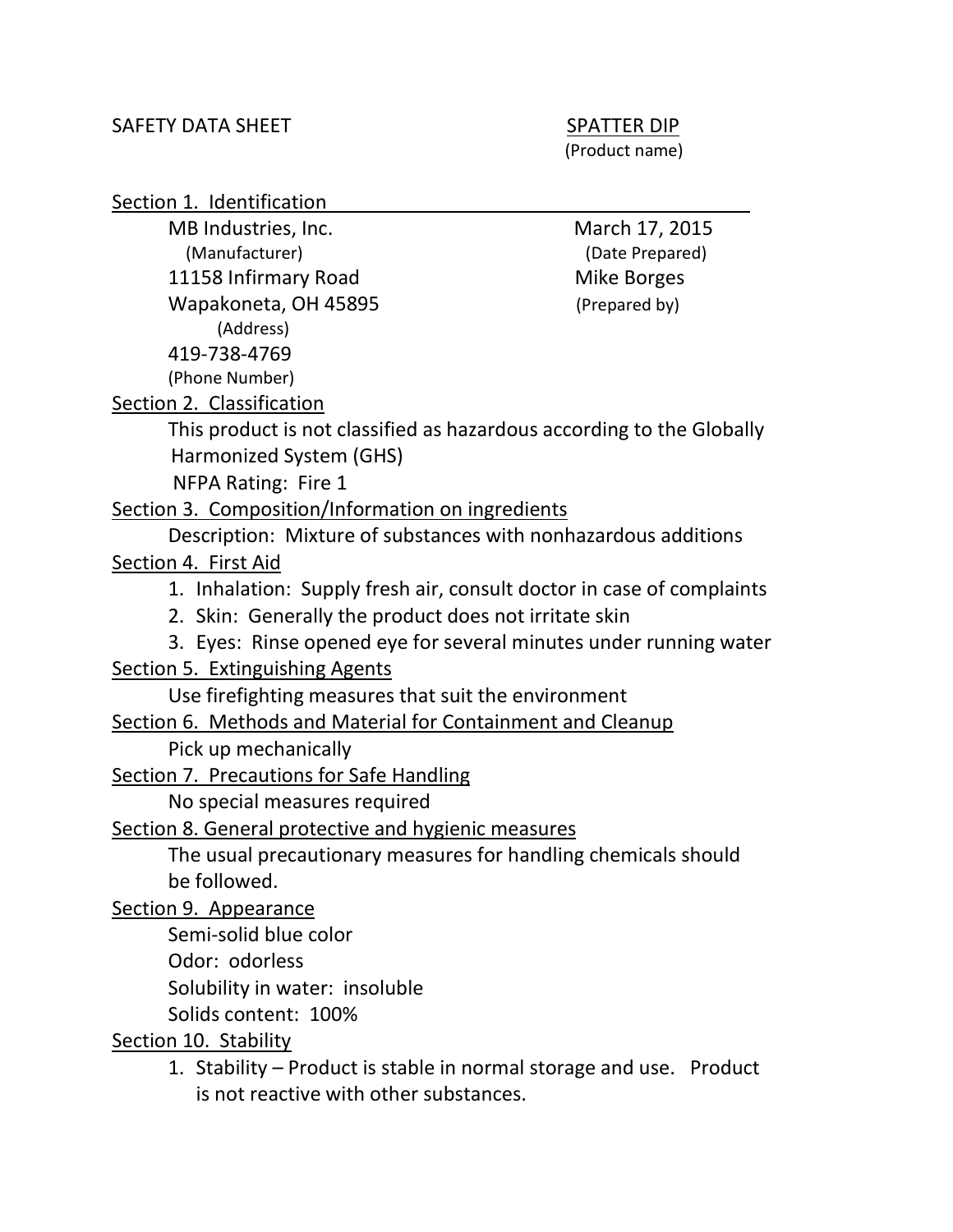(Product name)

Section 1. Identification

MB Industries, Inc. MB Industries, Inc. (Manufacturer) (Date Prepared) 11158 Infirmary Road Mike Borges Wapakoneta, OH 45895 (Prepared by) (Address) 419-738-4769 (Phone Number)

Section 2. Classification

This product is not classified as hazardous according to the Globally Harmonized System (GHS)

NFPA Rating: Fire 1

Section 3. Composition/Information on ingredients

Description: Mixture of substances with nonhazardous additions

Section 4. First Aid

- 1. Inhalation: Supply fresh air, consult doctor in case of complaints
- 2. Skin: Generally the product does not irritate skin
- 3. Eyes: Rinse opened eye for several minutes under running water

Section 5. Extinguishing Agents

Use firefighting measures that suit the environment

## Section 6. Methods and Material for Containment and Cleanup

Pick up mechanically

Section 7. Precautions for Safe Handling

No special measures required

Section 8. General protective and hygienic measures

The usual precautionary measures for handling chemicals should be followed.

Section 9. Appearance

Semi-solid blue color

Odor: odorless

Solubility in water: insoluble

Solids content: 100%

Section 10. Stability

1. Stability – Product is stable in normal storage and use. Product is not reactive with other substances.